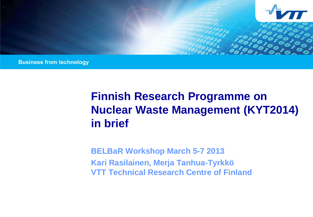

**Business from technology** 

# **Finnish Research Programme on Nuclear Waste Management (KYT2014) in brief**

**BELBaR Workshop March 5-7 2013 Kari Rasilainen, Merja Tanhua-Tyrkkö VTT Technical Research Centre of Finland**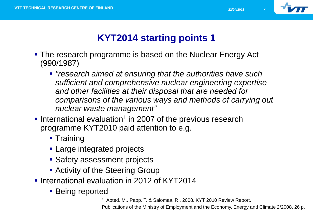

# **KYT2014 starting points 1**

- The research programme is based on the Nuclear Energy Act (990/1987)
	- *"research aimed at ensuring that the authorities have such sufficient and comprehensive nuclear engineering expertise and other facilities at their disposal that are needed for comparisons of the various ways and methods of carrying out nuclear waste management"*
- International evaluation<sup>1</sup> in 2007 of the previous research programme KYT2010 paid attention to e.g.
	- **Training**
	- **Large integrated projects**
	- **Safety assessment projects**
	- **Activity of the Steering Group**
- **International evaluation in 2012 of KYT2014** 
	- Being reported

<sup>1</sup> Apted, M., Papp, T. & Salomaa, R., 2008. KYT 2010 Review Report,

Publications of the Ministry of Employment and the Economy, Energy and Climate 2/2008, 26 p.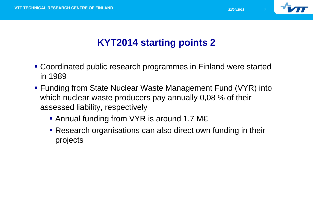

# **KYT2014 starting points 2**

- Coordinated public research programmes in Finland were started in 1989
- **Funding from State Nuclear Waste Management Fund (VYR) into** which nuclear waste producers pay annually 0,08 % of their assessed liability, respectively
	- Annual funding from VYR is around 1,7 M€
	- **Research organisations can also direct own funding in their** projects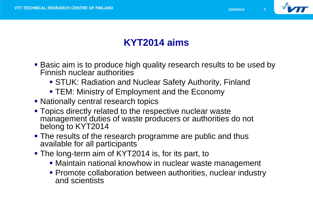

# **KYT2014 aims**

- **Basic aim is to produce high quality research results to be used by** Finnish nuclear authorities
	- STUK: Radiation and Nuclear Safety Authority, Finland
	- **TEM: Ministry of Employment and the Economy**
- Nationally central research topics
- **Topics directly related to the respective nuclear waste** management duties of waste producers or authorities do not belong to KYT2014
- The results of the research programme are public and thus available for all participants
- The long-term aim of KYT2014 is, for its part, to
	- **Maintain national knowhow in nuclear waste management**
	- **Promote collaboration between authorities, nuclear industry** and scientists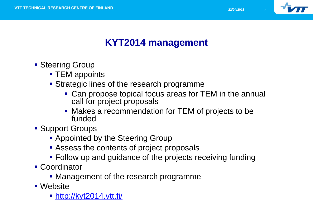

### **KYT2014 management**

- **Steering Group** 
	- **TEM** appoints
	- **Strategic lines of the research programme** 
		- Can propose topical focus areas for TEM in the annual call for project proposals
		- Makes a recommendation for TEM of projects to be funded
- Support Groups
	- **Appointed by the Steering Group**
	- **Assess the contents of project proposals**
	- Follow up and guidance of the projects receiving funding
- Coordinator
	- Management of the research programme
- Website
	- <http://kyt2014.vtt.fi/>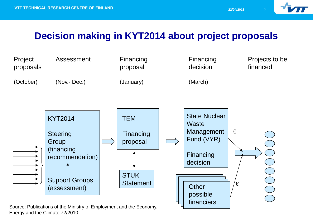

### **Decision making in KYT2014 about project proposals**



Energy and the Climate 72/2010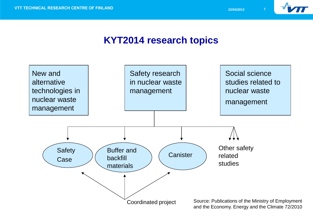

#### **KYT2014 research topics**

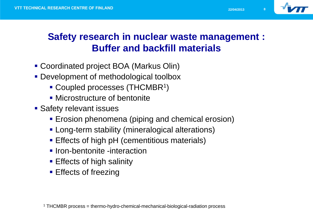

#### **Safety research in nuclear waste management : Buffer and backfill materials**

- Coordinated project BOA (Markus Olin)
- **Development of methodological toolbox** 
	- Coupled processes (THCMBR<sup>1</sup>)
	- **Microstructure of bentonite**
- **Safety relevant issues** 
	- **E** Frosion phenomena (piping and chemical erosion)
	- **Long-term stability (mineralogical alterations)**
	- **Effects of high pH (cementitious materials)**
	- **Iron-bentonite -interaction**
	- **Effects of high salinity**
	- **Effects of freezing**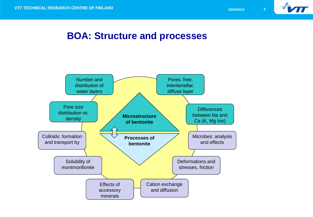

#### **BOA: Structure and processes**

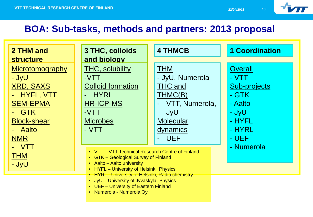

### **BOA: Sub-tasks, methods and partners: 2013 proposal**

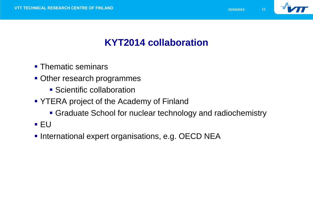

# **KYT2014 collaboration**

- Thematic seminars
- Other research programmes
	- Scientific collaboration
- **YTERA project of the Academy of Finland** 
	- Graduate School for nuclear technology and radiochemistry
- EU
- **International expert organisations, e.g. OECD NEA**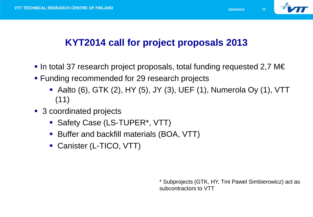

# **KYT2014 call for project proposals 2013**

- In total 37 research project proposals, total funding requested 2,7 M $\in$
- **Funding recommended for 29 research projects** 
	- Aalto (6), GTK (2), HY (5), JY (3), UEF (1), Numerola Oy (1), VTT (11)
- 3 coordinated projects
	- **Safety Case (LS-TUPER\*, VTT)**
	- **Buffer and backfill materials (BOA, VTT)**
	- Canister (L-TICO, VTT)

\* Subprojects (GTK, HY, Tmi Pawel Simbierowicz) act as subcontractors to VTT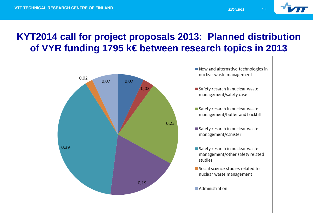

### **KYT2014 call for project proposals 2013: Planned distribution of VYR funding 1795 k€ between research topics in 2013**

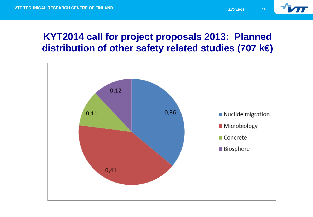

### **KYT2014 call for project proposals 2013: Planned distribution of other safety related studies (707 k€)**

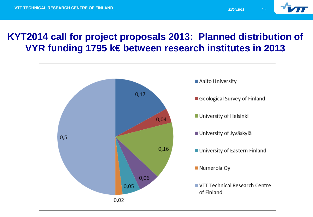

#### **KYT2014 call for project proposals 2013: Planned distribution of VYR funding 1795 k€ between research institutes in 2013**

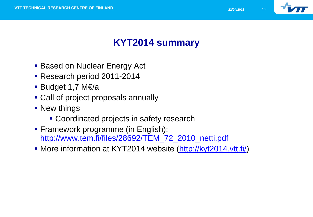

# **KYT2014 summary**

- Based on Nuclear Energy Act
- **Research period 2011-2014**
- Budget 1,7 M $\not\in$ /a
- Call of project proposals annually
- **New things** 
	- **Coordinated projects in safety research**
- **Framework programme (in English):** http://www.tem.fi/files/28692/TEM\_72\_2010\_netti.pdf
- More information at KYT2014 website (<http://kyt2014.vtt.fi/>)